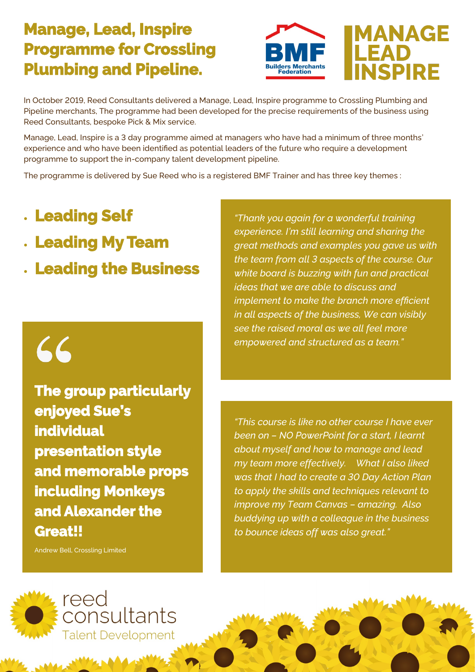#### **Manage, Lead, Inspire Programme for Crossling Plumbing and Pipeline.**



### **MANAGE EAD NSPIRE**

In October 2019, Reed Consultants delivered a Manage, Lead, Inspire programme to Crossling Plumbing and Pipeline merchants, The programme had been developed for the precise requirements of the business using Reed Consultants, bespoke Pick & Mix service.

Manage, Lead, Inspire is a 3 day programme aimed at managers who have had a minimum of three months' experience and who have been identified as potential leaders of the future who require a development programme to support the in-company talent development pipeline.

The programme is delivered by Sue Reed who is a registered BMF Trainer and has three key themes :

- **Leading Self**
- **Leading My Team**
- **Leading the Business**

# 66

**The group particularly enjoyed Sue's individual presentation style and memorable props including Monkeys and Alexander the Great!!** 

Andrew Bell, Crossling Limited

*"Thank you again for a wonderful training experience. I'm still learning and sharing the great methods and examples you gave us with the team from all 3 aspects of the course. Our white board is buzzing with fun and practical ideas that we are able to discuss and implement to make the branch more efficient in all aspects of the business, We can visibly see the raised moral as we all feel more empowered and structured as a team."*

*"This course is like no other course I have ever been on – NO PowerPoint for a start, I learnt about myself and how to manage and lead my team more effectively. What I also liked was that I had to create a 30 Day Action Plan to apply the skills and techniques relevant to improve my Team Canvas – amazing. Also buddying up with a colleague in the business to bounce ideas off was also great."*